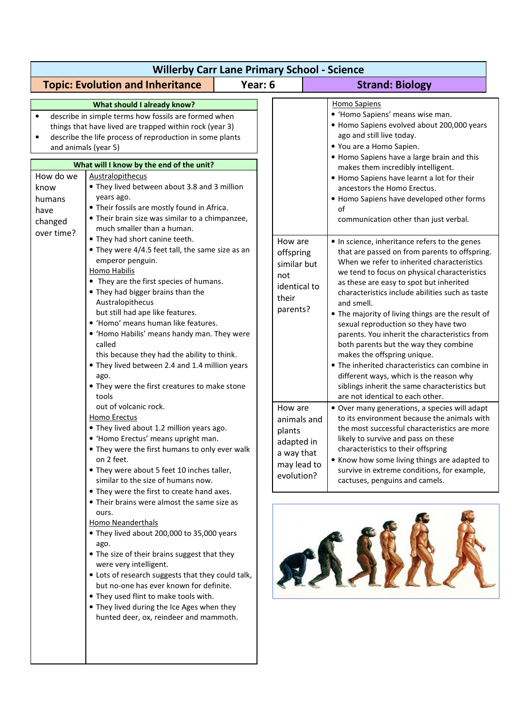| <b>Willerby Carr Lane Primary School - Science</b>                                   |                                                                                                                                                                                                                                                                                                                                                                                                                                                                                                                                                                                                                                                                                                                                                                                                                                                                                                                                                                                                                                                                                                                                                                                                                                                                                                                                                                                                                                                                                                                                                                                                                                                                                                                                                                                                          |         |                                                                                                                                                                              |  |                                                                                                                                                                                                                                                                                                                                                                                                                                                                                                                                                                                                                                                                                                                                                                                                                                                                                                                                                                                                                                                                                                                                                                                                                                                                                                                                                                                                                                                                                                             |  |  |
|--------------------------------------------------------------------------------------|----------------------------------------------------------------------------------------------------------------------------------------------------------------------------------------------------------------------------------------------------------------------------------------------------------------------------------------------------------------------------------------------------------------------------------------------------------------------------------------------------------------------------------------------------------------------------------------------------------------------------------------------------------------------------------------------------------------------------------------------------------------------------------------------------------------------------------------------------------------------------------------------------------------------------------------------------------------------------------------------------------------------------------------------------------------------------------------------------------------------------------------------------------------------------------------------------------------------------------------------------------------------------------------------------------------------------------------------------------------------------------------------------------------------------------------------------------------------------------------------------------------------------------------------------------------------------------------------------------------------------------------------------------------------------------------------------------------------------------------------------------------------------------------------------------|---------|------------------------------------------------------------------------------------------------------------------------------------------------------------------------------|--|-------------------------------------------------------------------------------------------------------------------------------------------------------------------------------------------------------------------------------------------------------------------------------------------------------------------------------------------------------------------------------------------------------------------------------------------------------------------------------------------------------------------------------------------------------------------------------------------------------------------------------------------------------------------------------------------------------------------------------------------------------------------------------------------------------------------------------------------------------------------------------------------------------------------------------------------------------------------------------------------------------------------------------------------------------------------------------------------------------------------------------------------------------------------------------------------------------------------------------------------------------------------------------------------------------------------------------------------------------------------------------------------------------------------------------------------------------------------------------------------------------------|--|--|
|                                                                                      | <b>Topic: Evolution and Inheritance</b>                                                                                                                                                                                                                                                                                                                                                                                                                                                                                                                                                                                                                                                                                                                                                                                                                                                                                                                                                                                                                                                                                                                                                                                                                                                                                                                                                                                                                                                                                                                                                                                                                                                                                                                                                                  | Year: 6 |                                                                                                                                                                              |  | <b>Strand: Biology</b>                                                                                                                                                                                                                                                                                                                                                                                                                                                                                                                                                                                                                                                                                                                                                                                                                                                                                                                                                                                                                                                                                                                                                                                                                                                                                                                                                                                                                                                                                      |  |  |
| and animals (year 5)<br>How do we<br>know<br>humans<br>have<br>changed<br>over time? | What should I already know?<br>describe in simple terms how fossils are formed when<br>things that have lived are trapped within rock (year 3)<br>describe the life process of reproduction in some plants<br>What will I know by the end of the unit?<br>Australopithecus<br>• They lived between about 3.8 and 3 million<br>years ago.<br>• Their fossils are mostly found in Africa.<br>• Their brain size was similar to a chimpanzee,<br>much smaller than a human.<br>• They had short canine teeth.<br>• They were 4/4.5 feet tall, the same size as an<br>emperor penguin.<br><b>Homo Habilis</b><br>• They are the first species of humans.<br>• They had bigger brains than the<br>Australopithecus<br>but still had ape like features.<br>· 'Homo' means human like features.<br>• 'Homo Habilis' means handy man. They were<br>called<br>this because they had the ability to think.<br>• They lived between 2.4 and 1.4 million years<br>ago.<br>• They were the first creatures to make stone<br>tools<br>out of volcanic rock.<br>Homo Erectus<br>• They lived about 1.2 million years ago.<br>• 'Homo Erectus' means upright man.<br>• They were the first humans to only ever walk<br>on 2 feet.<br>• They were about 5 feet 10 inches taller,<br>similar to the size of humans now.<br>• They were the first to create hand axes.<br>• Their brains were almost the same size as<br>ours.<br><b>Homo Neanderthals</b><br>• They lived about 200,000 to 35,000 years<br>ago.<br>• The size of their brains suggest that they<br>were very intelligent.<br>• Lots of research suggests that they could talk,<br>but no-one has ever known for definite.<br>• They used flint to make tools with.<br>. They lived during the Ice Ages when they<br>hunted deer, ox, reindeer and mammoth. |         | How are<br>offspring<br>similar but<br>not<br>identical to<br>their<br>parents?<br>How are<br>animals and<br>plants<br>adapted in<br>a way that<br>may lead to<br>evolution? |  | <b>Homo Sapiens</b><br>· 'Homo Sapiens' means wise man.<br>• Homo Sapiens evolved about 200,000 years<br>ago and still live today.<br>• You are a Homo Sapien.<br>• Homo Sapiens have a large brain and this<br>makes them incredibly intelligent.<br>• Homo Sapiens have learnt a lot for their<br>ancestors the Homo Erectus.<br>• Homo Sapiens have developed other forms<br>of<br>communication other than just verbal.<br>. In science, inheritance refers to the genes<br>that are passed on from parents to offspring.<br>When we refer to inherited characteristics<br>we tend to focus on physical characteristics<br>as these are easy to spot but inherited<br>characteristics include abilities such as taste<br>and smell.<br>• The majority of living things are the result of<br>sexual reproduction so they have two<br>parents. You inherit the characteristics from<br>both parents but the way they combine<br>makes the offspring unique.<br>The inherited characteristics can combine in<br>different ways, which is the reason why<br>siblings inherit the same characteristics but<br>are not identical to each other.<br>• Over many generations, a species will adapt<br>to its environment because the animals with<br>the most successful characteristics are more<br>likely to survive and pass on these<br>characteristics to their offspring<br>• Know how some living things are adapted to<br>survive in extreme conditions, for example,<br>cactuses, penguins and camels. |  |  |
|                                                                                      |                                                                                                                                                                                                                                                                                                                                                                                                                                                                                                                                                                                                                                                                                                                                                                                                                                                                                                                                                                                                                                                                                                                                                                                                                                                                                                                                                                                                                                                                                                                                                                                                                                                                                                                                                                                                          |         |                                                                                                                                                                              |  |                                                                                                                                                                                                                                                                                                                                                                                                                                                                                                                                                                                                                                                                                                                                                                                                                                                                                                                                                                                                                                                                                                                                                                                                                                                                                                                                                                                                                                                                                                             |  |  |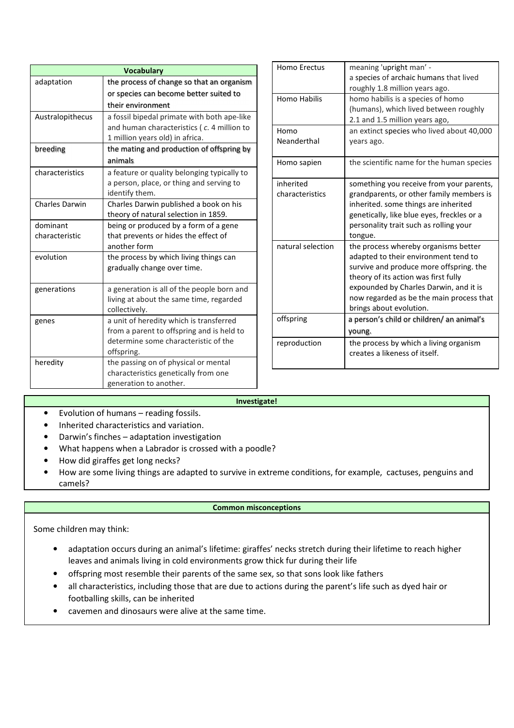| <b>Vocabulary</b>          |                                                                               |  |  |  |  |
|----------------------------|-------------------------------------------------------------------------------|--|--|--|--|
| adaptation                 | the process of change so that an organism                                     |  |  |  |  |
|                            | or species can become better suited to                                        |  |  |  |  |
|                            | their environment                                                             |  |  |  |  |
| Australopithecus           | a fossil bipedal primate with both ape-like                                   |  |  |  |  |
|                            | and human characteristics (c. 4 million to                                    |  |  |  |  |
|                            | 1 million years old) in africa.                                               |  |  |  |  |
| breeding                   | the mating and production of offspring by                                     |  |  |  |  |
|                            | animals                                                                       |  |  |  |  |
| characteristics            | a feature or quality belonging typically to                                   |  |  |  |  |
|                            | a person, place, or thing and serving to                                      |  |  |  |  |
|                            | identify them.                                                                |  |  |  |  |
| <b>Charles Darwin</b>      | Charles Darwin published a book on his                                        |  |  |  |  |
|                            | theory of natural selection in 1859.                                          |  |  |  |  |
| dominant<br>characteristic | being or produced by a form of a gene<br>that prevents or hides the effect of |  |  |  |  |
|                            | another form                                                                  |  |  |  |  |
| evolution                  | the process by which living things can                                        |  |  |  |  |
|                            | gradually change over time.                                                   |  |  |  |  |
|                            |                                                                               |  |  |  |  |
| generations                | a generation is all of the people born and                                    |  |  |  |  |
|                            | living at about the same time, regarded                                       |  |  |  |  |
|                            | collectively.                                                                 |  |  |  |  |
| genes                      | a unit of heredity which is transferred                                       |  |  |  |  |
|                            | from a parent to offspring and is held to                                     |  |  |  |  |
|                            | determine some characteristic of the                                          |  |  |  |  |
|                            | offspring.                                                                    |  |  |  |  |
| heredity                   | the passing on of physical or mental                                          |  |  |  |  |
|                            | characteristics genetically from one                                          |  |  |  |  |
|                            | generation to another.                                                        |  |  |  |  |

| <b>Homo Erectus</b> | meaning 'upright man' -                    |
|---------------------|--------------------------------------------|
|                     | a species of archaic humans that lived     |
|                     | roughly 1.8 million years ago.             |
| <b>Homo Habilis</b> | homo habilis is a species of homo          |
|                     | (humans), which lived between roughly      |
|                     | 2.1 and 1.5 million years ago,             |
| Homo                | an extinct species who lived about 40,000  |
| Neanderthal         | years ago.                                 |
|                     |                                            |
| Homo sapien         | the scientific name for the human species  |
|                     |                                            |
| inherited           | something you receive from your parents,   |
| characteristics     | grandparents, or other family members is   |
|                     | inherited. some things are inherited       |
|                     | genetically, like blue eyes, freckles or a |
|                     | personality trait such as rolling your     |
|                     | tongue.                                    |
| natural selection   | the process whereby organisms better       |
|                     | adapted to their environment tend to       |
|                     | survive and produce more offspring. the    |
|                     | theory of its action was first fully       |
|                     | expounded by Charles Darwin, and it is     |
|                     | now regarded as be the main process that   |
|                     | brings about evolution.                    |
| offspring           | a person's child or children/ an animal's  |
|                     | young.                                     |
| reproduction        | the process by which a living organism     |
|                     | creates a likeness of itself.              |
|                     |                                            |

## **Investigate!**

- Evolution of humans reading fossils.
- Inherited characteristics and variation.
- Darwin's finches adaptation investigation
- What happens when a Labrador is crossed with a poodle?
- How did giraffes get long necks?
- How are some living things are adapted to survive in extreme conditions, for example, cactuses, penguins and camels?

## **Common misconceptions**

Some children may think:

- adaptation occurs during an animal's lifetime: giraffes' necks stretch during their lifetime to reach higher leaves and animals living in cold environments grow thick fur during their life
- offspring most resemble their parents of the same sex, so that sons look like fathers
- all characteristics, including those that are due to actions during the parent's life such as dyed hair or footballing skills, can be inherited
- cavemen and dinosaurs were alive at the same time.